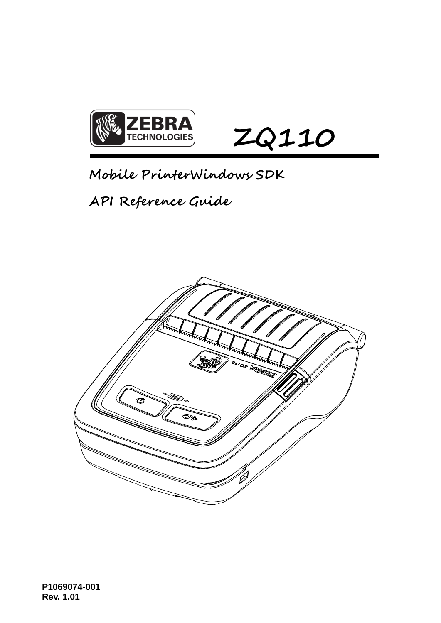

**Mobile PrinterWindows SDK** 

**API Reference Guide**

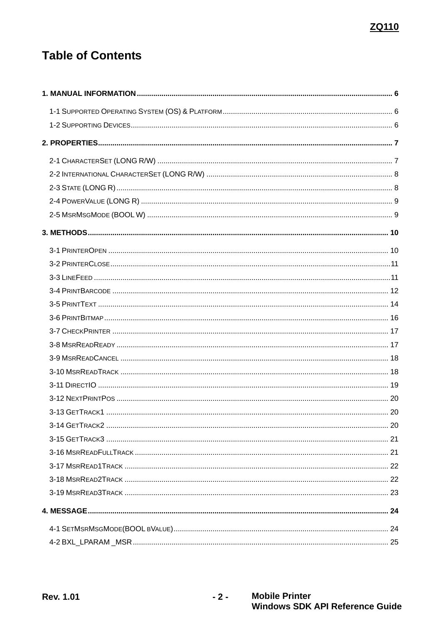# **Table of Contents**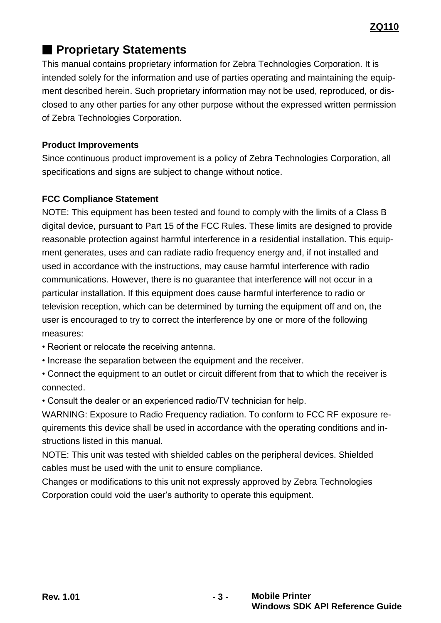# ■ **Proprietary Statements**

This manual contains proprietary information for Zebra Technologies Corporation. It is intended solely for the information and use of parties operating and maintaining the equipment described herein. Such proprietary information may not be used, reproduced, or disclosed to any other parties for any other purpose without the expressed written permission of Zebra Technologies Corporation.

# **Product Improvements**

Since continuous product improvement is a policy of Zebra Technologies Corporation, all specifications and signs are subject to change without notice.

# **FCC Compliance Statement**

NOTE: This equipment has been tested and found to comply with the limits of a Class B digital device, pursuant to Part 15 of the FCC Rules. These limits are designed to provide reasonable protection against harmful interference in a residential installation. This equipment generates, uses and can radiate radio frequency energy and, if not installed and used in accordance with the instructions, may cause harmful interference with radio communications. However, there is no guarantee that interference will not occur in a particular installation. If this equipment does cause harmful interference to radio or television reception, which can be determined by turning the equipment off and on, the user is encouraged to try to correct the interference by one or more of the following measures:

- Reorient or relocate the receiving antenna.
- Increase the separation between the equipment and the receiver.
- Connect the equipment to an outlet or circuit different from that to which the receiver is connected.
- Consult the dealer or an experienced radio/TV technician for help.

WARNING: Exposure to Radio Frequency radiation. To conform to FCC RF exposure requirements this device shall be used in accordance with the operating conditions and instructions listed in this manual.

NOTE: This unit was tested with shielded cables on the peripheral devices. Shielded cables must be used with the unit to ensure compliance.

Changes or modifications to this unit not expressly approved by Zebra Technologies Corporation could void the user's authority to operate this equipment.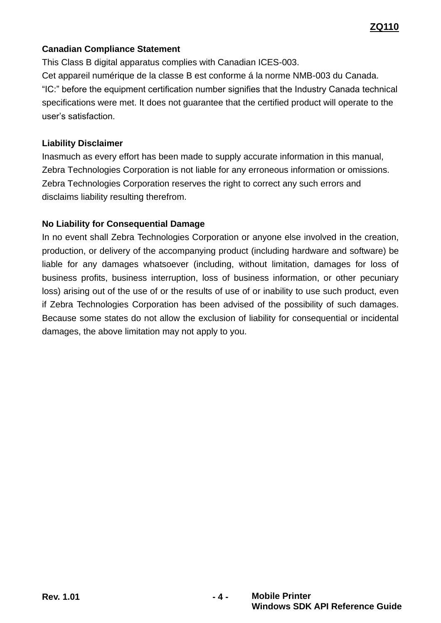# **Canadian Compliance Statement**

This Class B digital apparatus complies with Canadian ICES-003. Cet appareil numérique de la classe B est conforme á la norme NMB-003 du Canada. "IC:" before the equipment certification number signifies that the Industry Canada technical specifications were met. It does not guarantee that the certified product will operate to the user's satisfaction.

#### **Liability Disclaimer**

Inasmuch as every effort has been made to supply accurate information in this manual, Zebra Technologies Corporation is not liable for any erroneous information or omissions. Zebra Technologies Corporation reserves the right to correct any such errors and disclaims liability resulting therefrom.

# **No Liability for Consequential Damage**

In no event shall Zebra Technologies Corporation or anyone else involved in the creation, production, or delivery of the accompanying product (including hardware and software) be liable for any damages whatsoever (including, without limitation, damages for loss of business profits, business interruption, loss of business information, or other pecuniary loss) arising out of the use of or the results of use of or inability to use such product, even if Zebra Technologies Corporation has been advised of the possibility of such damages. Because some states do not allow the exclusion of liability for consequential or incidental damages, the above limitation may not apply to you.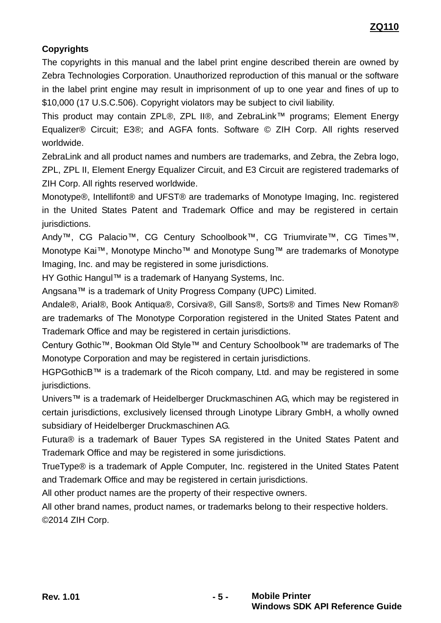# **Copyrights**

The copyrights in this manual and the label print engine described therein are owned by Zebra Technologies Corporation. Unauthorized reproduction of this manual or the software in the label print engine may result in imprisonment of up to one year and fines of up to \$10,000 (17 U.S.C.506). Copyright violators may be subject to civil liability.

This product may contain ZPL®, ZPL II®, and ZebraLink™ programs; Element Energy Equalizer® Circuit; E3®; and AGFA fonts. Software © ZIH Corp. All rights reserved worldwide.

ZebraLink and all product names and numbers are trademarks, and Zebra, the Zebra logo, ZPL, ZPL II, Element Energy Equalizer Circuit, and E3 Circuit are registered trademarks of ZIH Corp. All rights reserved worldwide.

Monotype®, Intellifont® and UFST® are trademarks of Monotype Imaging, Inc. registered in the United States Patent and Trademark Office and may be registered in certain jurisdictions.

Andy™, CG Palacio™, CG Century Schoolbook™, CG Triumvirate™, CG Times™, Monotype Kai™, Monotype Mincho™ and Monotype Sung™ are trademarks of Monotype Imaging, Inc. and may be registered in some jurisdictions.

HY Gothic Hangul™ is a trademark of Hanyang Systems, Inc.

Angsana™ is a trademark of Unity Progress Company (UPC) Limited.

Andale®, Arial®, Book Antiqua®, Corsiva®, Gill Sans®, Sorts® and Times New Roman® are trademarks of The Monotype Corporation registered in the United States Patent and Trademark Office and may be registered in certain jurisdictions.

Century Gothic™, Bookman Old Style™ and Century Schoolbook™ are trademarks of The Monotype Corporation and may be registered in certain jurisdictions.

HGPGothicB™ is a trademark of the Ricoh company, Ltd. and may be registered in some jurisdictions.

Univers™ is a trademark of Heidelberger Druckmaschinen AG, which may be registered in certain jurisdictions, exclusively licensed through Linotype Library GmbH, a wholly owned subsidiary of Heidelberger Druckmaschinen AG.

Futura® is a trademark of Bauer Types SA registered in the United States Patent and Trademark Office and may be registered in some jurisdictions.

TrueType® is a trademark of Apple Computer, Inc. registered in the United States Patent and Trademark Office and may be registered in certain jurisdictions.

All other product names are the property of their respective owners.

All other brand names, product names, or trademarks belong to their respective holders. ©2014 ZIH Corp.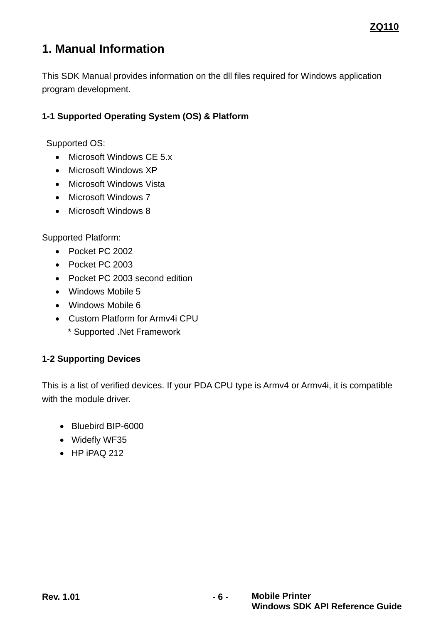# <span id="page-5-0"></span>**1. Manual Information**

This SDK Manual provides information on the dll files required for Windows application program development.

# <span id="page-5-1"></span>**1-1 Supported Operating System (OS) & Platform**

Supported OS:

- Microsoft Windows CE 5.x
- Microsoft Windows XP
- Microsoft Windows Vista
- Microsoft Windows 7
- Microsoft Windows 8

Supported Platform:

- Pocket PC 2002
- Pocket PC 2003
- Pocket PC 2003 second edition
- Windows Mobile 5
- Windows Mobile 6
- Custom Platform for Armv4i CPU
	- \* Supported .Net Framework

# <span id="page-5-2"></span>**1-2 Supporting Devices**

This is a list of verified devices. If your PDA CPU type is Armv4 or Armv4i, it is compatible with the module driver.

- Bluebird BIP-6000
- Widefly WF35
- HP iPAQ 212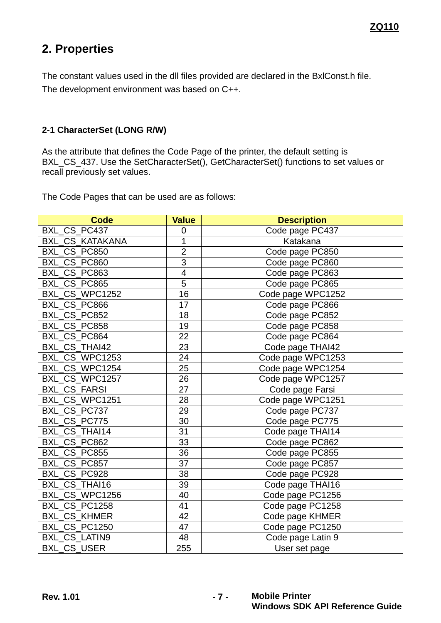# <span id="page-6-0"></span>**2. Properties**

The constant values used in the dll files provided are declared in the BxlConst.h file. The development environment was based on C++.

#### <span id="page-6-1"></span>**2-1 CharacterSet (LONG R/W)**

As the attribute that defines the Code Page of the printer, the default setting is BXL\_CS\_437. Use the SetCharacterSet(), GetCharacterSet() functions to set values or recall previously set values.

The Code Pages that can be used are as follows:

| <b>Code</b>            | <b>Value</b>            | <b>Description</b> |
|------------------------|-------------------------|--------------------|
| BXL_CS_PC437           | $\overline{0}$          | Code page PC437    |
| <b>BXL CS KATAKANA</b> | 1                       | Katakana           |
| BXL CS PC850           | $\overline{2}$          | Code page PC850    |
| BXL_CS_PC860           | 3                       | Code page PC860    |
| BXL_CS_PC863           | $\overline{\mathbf{4}}$ | Code page PC863    |
| BXL CS PC865           | 5                       | Code page PC865    |
| BXL CS WPC1252         | 16                      | Code page WPC1252  |
| BXL_CS_PC866           | 17                      | Code page PC866    |
| BXL CS PC852           | 18                      | Code page PC852    |
| BXL_CS_PC858           | 19                      | Code page PC858    |
| BXL_CS_PC864           | 22                      | Code page PC864    |
| <b>BXL CS THAI42</b>   | 23                      | Code page THAI42   |
| BXL CS WPC1253         | 24                      | Code page WPC1253  |
| BXL CS WPC1254         | 25                      | Code page WPC1254  |
| BXL CS WPC1257         | 26                      | Code page WPC1257  |
| <b>BXL CS FARSI</b>    | 27                      | Code page Farsi    |
| BXL_CS_WPC1251         | 28                      | Code page WPC1251  |
| BXL CS PC737           | 29                      | Code page PC737    |
| BXL CS PC775           | 30                      | Code page PC775    |
| <b>BXL CS THAI14</b>   | 31                      | Code page THAI14   |
| BXL CS PC862           | 33                      | Code page PC862    |
| BXL_CS_PC855           | 36                      | Code page PC855    |
| BXL_CS_PC857           | 37                      | Code page PC857    |
| BXL CS PC928           | 38                      | Code page PC928    |
| <b>BXL CS THAI16</b>   | 39                      | Code page THAI16   |
| BXL CS WPC1256         | 40                      | Code page PC1256   |
| BXL CS PC1258          | 41                      | Code page PC1258   |
| <b>BXL CS KHMER</b>    | 42                      | Code page KHMER    |
| BXL_CS_PC1250          | 47                      | Code page PC1250   |
| BXL_CS_LATIN9          | 48                      | Code page Latin 9  |
| <b>BXL CS USER</b>     | 255                     | User set page      |

**Rev. 1.01 - 7 - Mobile Printer Windows SDK API Reference Guide**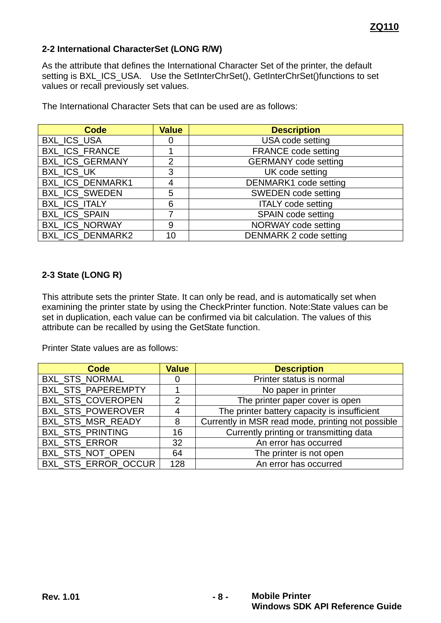#### <span id="page-7-0"></span>**2-2 International CharacterSet (LONG R/W)**

As the attribute that defines the International Character Set of the printer, the default setting is BXL\_ICS\_USA. Use the SetInterChrSet(), GetInterChrSet()functions to set values or recall previously set values.

The International Character Sets that can be used are as follows:

| Code                  | <b>Value</b>   | <b>Description</b>           |
|-----------------------|----------------|------------------------------|
| BXL_ICS_USA           |                | USA code setting             |
| <b>BXL_ICS_FRANCE</b> |                | <b>FRANCE code setting</b>   |
| BXL_ICS_GERMANY       | $\overline{2}$ | <b>GERMANY</b> code setting  |
| BXL_ICS_UK            | 3              | UK code setting              |
| BXL_ICS_DENMARK1      |                | <b>DENMARK1</b> code setting |
| <b>BXL_ICS_SWEDEN</b> | 5              | <b>SWEDEN</b> code setting   |
| BXL_ICS_ITALY         | 6              | <b>ITALY</b> code setting    |
| BXL_ICS_SPAIN         |                | SPAIN code setting           |
| <b>BXL_ICS_NORWAY</b> | 9              | NORWAY code setting          |
| BXL_ICS_DENMARK2      | 10             | DENMARK 2 code setting       |

#### <span id="page-7-1"></span>**2-3 State (LONG R)**

This attribute sets the printer State. It can only be read, and is automatically set when examining the printer state by using the CheckPrinter function. Note:State values can be set in duplication, each value can be confirmed via bit calculation. The values of this attribute can be recalled by using the GetState function.

Printer State values are as follows:

| Code                       | <b>Value</b> | <b>Description</b>                                |
|----------------------------|--------------|---------------------------------------------------|
| BXL_STS_NORMAL             | Ü            | Printer status is normal                          |
| <b>BXL STS PAPEREMPTY</b>  |              | No paper in printer                               |
| BXL_STS_COVEROPEN          | 2            | The printer paper cover is open                   |
| <b>BXL STS POWEROVER</b>   | 4            | The printer battery capacity is insufficient      |
| BXL_STS_MSR_READY          | 8            | Currently in MSR read mode, printing not possible |
| BXL_STS_PRINTING           | 16           | Currently printing or transmitting data           |
| BXL_STS_ERROR              | 32           | An error has occurred                             |
| BXL_STS_NOT_OPEN           | 64           | The printer is not open                           |
| <b>BXL STS ERROR OCCUR</b> | 128          | An error has occurred                             |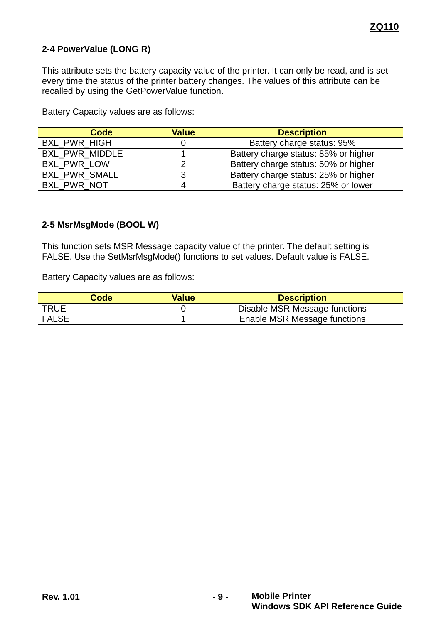#### <span id="page-8-0"></span>**2-4 PowerValue (LONG R)**

This attribute sets the battery capacity value of the printer. It can only be read, and is set every time the status of the printer battery changes. The values of this attribute can be recalled by using the GetPowerValue function.

Battery Capacity values are as follows:

| Code                  | <b>Value</b> | <b>Description</b>                   |
|-----------------------|--------------|--------------------------------------|
| <b>BXL PWR HIGH</b>   |              | Battery charge status: 95%           |
| <b>BXL PWR MIDDLE</b> |              | Battery charge status: 85% or higher |
| <b>BXL PWR LOW</b>    |              | Battery charge status: 50% or higher |
| <b>BXL PWR SMALL</b>  | ີ            | Battery charge status: 25% or higher |
| <b>BXL PWR NOT</b>    |              | Battery charge status: 25% or lower  |

#### <span id="page-8-1"></span>**2-5 MsrMsgMode (BOOL W)**

This function sets MSR Message capacity value of the printer. The default setting is FALSE. Use the SetMsrMsgMode() functions to set values. Default value is FALSE.

Battery Capacity values are as follows:

| Code         | <b>Value</b> | <b>Description</b>            |
|--------------|--------------|-------------------------------|
| <b>TRUE</b>  |              | Disable MSR Message functions |
| <b>FALSE</b> |              | Enable MSR Message functions  |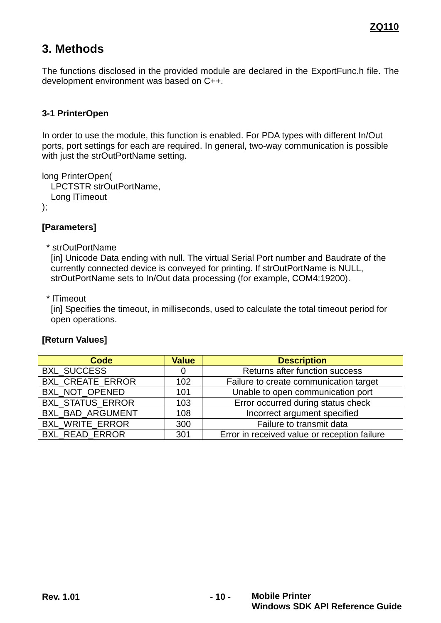# <span id="page-9-0"></span>**3. Methods**

The functions disclosed in the provided module are declared in the ExportFunc.h file. The development environment was based on C++.

#### <span id="page-9-1"></span>**3-1 PrinterOpen**

In order to use the module, this function is enabled. For PDA types with different In/Out ports, port settings for each are required. In general, two-way communication is possible with just the strOutPortName setting.

```
long PrinterOpen(
   LPCTSTR strOutPortName,
  Long lTimeout
```
);

#### **[Parameters]**

\* strOutPortName

[in] Unicode Data ending with null. The virtual Serial Port number and Baudrate of the currently connected device is conveyed for printing. If strOutPortName is NULL, strOutPortName sets to In/Out data processing (for example, COM4:19200).

\* lTimeout

[in] Specifies the timeout, in milliseconds, used to calculate the total timeout period for open operations.

| Code                    | <b>Value</b> | <b>Description</b>                           |
|-------------------------|--------------|----------------------------------------------|
| <b>BXL SUCCESS</b>      |              | Returns after function success               |
| BXL_CREATE_ERROR        | 102          | Failure to create communication target       |
| BXL_NOT_OPENED          | 101          | Unable to open communication port            |
| BXL_STATUS_ERROR        | 103          | Error occurred during status check           |
| <b>BXL BAD ARGUMENT</b> | 108          | Incorrect argument specified                 |
| BXL_WRITE_ERROR         | 300          | Failure to transmit data                     |
| <b>BXL READ ERROR</b>   | 301          | Error in received value or reception failure |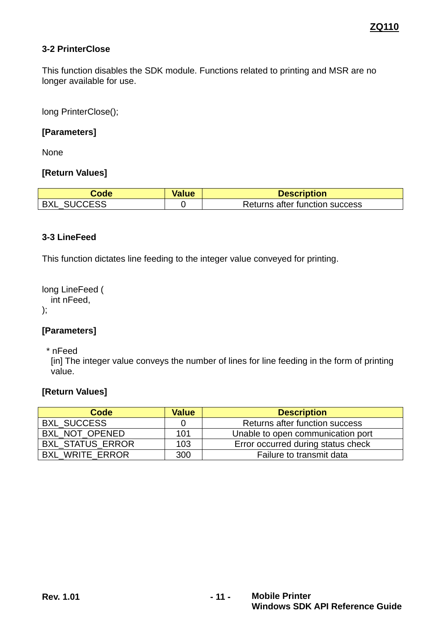#### <span id="page-10-0"></span>**3-2 PrinterClose**

This function disables the SDK module. Functions related to printing and MSR are no longer available for use.

long PrinterClose();

#### **[Parameters]**

None

#### **[Return Values]**

| Code               | <b>Value</b> | <b>Description</b>             |
|--------------------|--------------|--------------------------------|
| <b>BXL SUCCESS</b> |              | Returns after function success |

#### <span id="page-10-1"></span>**3-3 LineFeed**

This function dictates line feeding to the integer value conveyed for printing.

long LineFeed ( int nFeed, );

#### **[Parameters]**

\* nFeed

[in] The integer value conveys the number of lines for line feeding in the form of printing value.

| Code                    | <b>Value</b> | <b>Description</b>                 |
|-------------------------|--------------|------------------------------------|
| <b>BXL SUCCESS</b>      |              | Returns after function success     |
| BXL NOT OPENED          | 101          | Unable to open communication port  |
| <b>BXL STATUS ERROR</b> | 103          | Error occurred during status check |
| <b>BXL WRITE ERROR</b>  | 300          | Failure to transmit data           |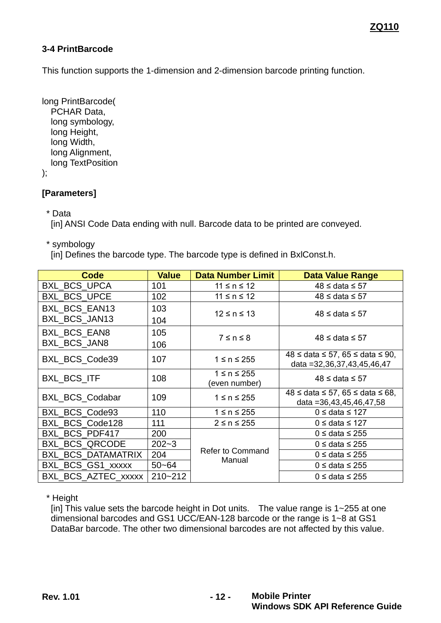#### <span id="page-11-0"></span>**3-4 PrintBarcode**

This function supports the 1-dimension and 2-dimension barcode printing function.

long PrintBarcode( PCHAR Data, long symbology, long Height, long Width, long Alignment, long TextPosition

);

# **[Parameters]**

\* Data

[in] ANSI Code Data ending with null. Barcode data to be printed are conveyed.

\* symbology

[in] Defines the barcode type. The barcode type is defined in BxlConst.h.

| Code                  | <b>Value</b> | <b>Data Number Limit</b>           | <b>Data Value Range</b>                                                     |  |
|-----------------------|--------------|------------------------------------|-----------------------------------------------------------------------------|--|
| <b>BXL BCS UPCA</b>   | 101          | $11 \le n \le 12$                  | 48 ≤ data ≤ 57                                                              |  |
| <b>BXL_BCS_UPCE</b>   | 102          | $11 \le n \le 12$                  | $48 \leq$ data $\leq 57$                                                    |  |
| BXL_BCS_EAN13         | 103          | $12 \le n \le 13$                  | $48 \leq$ data $\leq 57$                                                    |  |
| BXL BCS JAN13         | 104          |                                    |                                                                             |  |
| <b>BXL BCS EAN8</b>   | 105          | $7 \le n \le 8$                    | $48 \leq$ data $\leq 57$                                                    |  |
| <b>BXL BCS JAN8</b>   | 106          |                                    |                                                                             |  |
| BXL_BCS_Code39        | 107          | $1 \le n \le 255$                  | $48 \leq$ data $\leq 57$ , 65 $\leq$ data $\leq 90$ ,                       |  |
|                       |              |                                    | data = 32, 36, 37, 43, 45, 46, 47                                           |  |
| <b>BXL BCS ITF</b>    | 108          | $1 \le n \le 255$<br>(even number) | $48 \leq$ data $\leq 57$                                                    |  |
| BXL_BCS_Codabar       | 109          | $1 \le n \le 255$                  | $48 \le$ data $\le$ 57, 65 $\le$ data $\le$ 68,<br>data = 36,43,45,46,47,58 |  |
| BXL_BCS_Code93        | 110          | $1 \le n \le 255$                  | $0 \leq$ data $\leq$ 127                                                    |  |
|                       |              |                                    |                                                                             |  |
| BXL_BCS_Code128       | 111          | $2 \leq n \leq 255$                | $0 \leq$ data ≤ 127                                                         |  |
| BXL BCS PDF417        | 200          |                                    | $0 \leq$ data $\leq$ 255                                                    |  |
| <b>BXL BCS QRCODE</b> | $202 - 3$    |                                    | $0 \leq$ data $\leq$ 255                                                    |  |
| BXL_BCS_DATAMATRIX    | 204          | <b>Refer to Command</b><br>Manual  | $0 \leq$ data $\leq$ 255                                                    |  |
| BXL_BCS_GS1_xxxxx     | $50 - 64$    |                                    | $0 \leq$ data ≤ 255                                                         |  |
| BXL BCS AZTEC xxxxx   | $210 - 212$  |                                    | $0 \leq$ data ≤ 255                                                         |  |

\* Height

[in] This value sets the barcode height in Dot units. The value range is 1~255 at one dimensional barcodes and GS1 UCC/EAN-128 barcode or the range is 1~8 at GS1 DataBar barcode. The other two dimensional barcodes are not affected by this value.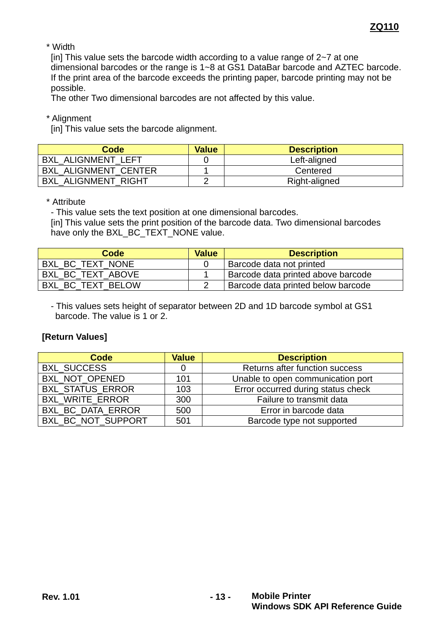\* Width

[in] This value sets the barcode width according to a value range of  $2\nu$  at one dimensional barcodes or the range is 1~8 at GS1 DataBar barcode and AZTEC barcode. If the print area of the barcode exceeds the printing paper, barcode printing may not be possible.

The other Two dimensional barcodes are not affected by this value.

\* Alignment

[in] This value sets the barcode alignment.

| Code                        | <b>Value</b> | <b>Description</b> |
|-----------------------------|--------------|--------------------|
| <b>BXL ALIGNMENT LEFT</b>   |              | Left-aligned       |
| <b>BXL ALIGNMENT CENTER</b> |              | Centered           |
| <b>BXL ALIGNMENT RIGHT</b>  |              | Right-aligned      |

\* Attribute

- This value sets the text position at one dimensional barcodes.

[in] This value sets the print position of the barcode data. Two dimensional barcodes have only the BXL\_BC\_TEXT\_NONE value.

| Code              | <b>Value</b> | <b>Description</b>                 |
|-------------------|--------------|------------------------------------|
| BXL BC TEXT NONE  |              | Barcode data not printed           |
| BXL BC TEXT ABOVE |              | Barcode data printed above barcode |
| BXL BC TEXT BELOW |              | Barcode data printed below barcode |

- This values sets height of separator between 2D and 1D barcode symbol at GS1 barcode. The value is 1 or 2.

| Code                     | <b>Value</b> | <b>Description</b>                 |
|--------------------------|--------------|------------------------------------|
| <b>BXL SUCCESS</b>       |              | Returns after function success     |
| BXL NOT OPENED           | 101          | Unable to open communication port  |
| BXL_STATUS_ERROR         | 103          | Error occurred during status check |
| <b>BXL WRITE ERROR</b>   | 300          | Failure to transmit data           |
| <b>BXL BC DATA ERROR</b> | 500          | Error in barcode data              |
| BXL BC NOT SUPPORT       | 501          | Barcode type not supported         |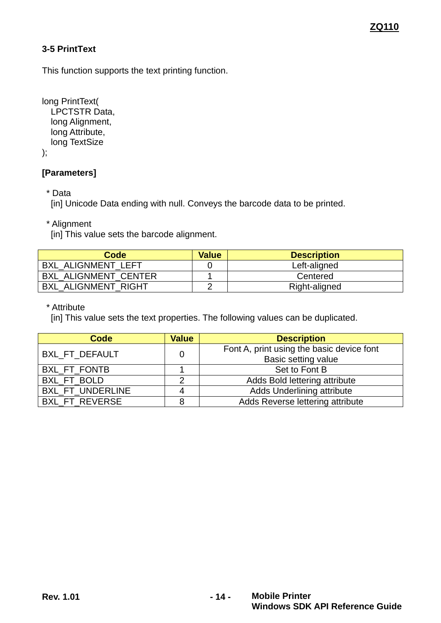# <span id="page-13-0"></span>**3-5 PrintText**

This function supports the text printing function.

long PrintText( LPCTSTR Data, long Alignment, long Attribute, long TextSize );

#### **[Parameters]**

\* Data

[in] Unicode Data ending with null. Conveys the barcode data to be printed.

\* Alignment

[in] This value sets the barcode alignment.

| Code                        | <b>Value</b> | <b>Description</b> |
|-----------------------------|--------------|--------------------|
| <b>BXL ALIGNMENT LEFT</b>   |              | Left-aligned       |
| <b>BXL ALIGNMENT CENTER</b> |              | Centered           |
| <b>BXL ALIGNMENT RIGHT</b>  |              | Right-aligned      |

\* Attribute

[in] This value sets the text properties. The following values can be duplicated.

| Code                    | <b>Value</b> | <b>Description</b>                        |
|-------------------------|--------------|-------------------------------------------|
| <b>BXL FT DEFAULT</b>   | 0            | Font A, print using the basic device font |
|                         |              | Basic setting value                       |
| BXL_FT_FONTB            |              | Set to Font B                             |
| BXL FT BOLD             |              | Adds Bold lettering attribute             |
| <b>BXL FT UNDERLINE</b> |              | Adds Underlining attribute                |
| <b>BXL FT REVERSE</b>   |              | Adds Reverse lettering attribute          |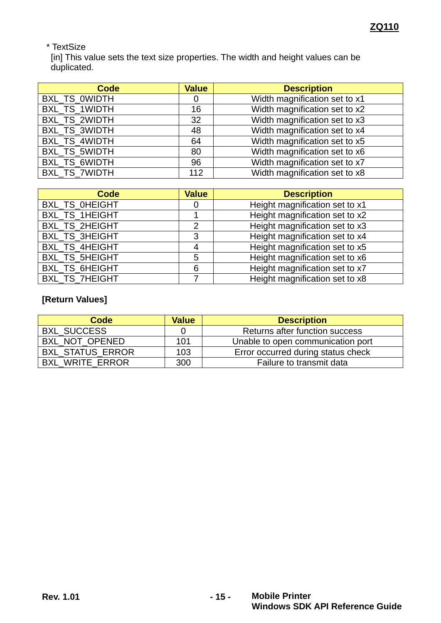# \* TextSize

[in] This value sets the text size properties. The width and height values can be duplicated.

| Code                 | <b>Value</b> | <b>Description</b>            |
|----------------------|--------------|-------------------------------|
| <b>BXL TS OWIDTH</b> | 0            | Width magnification set to x1 |
| <b>BXL TS 1WIDTH</b> | 16           | Width magnification set to x2 |
| BXL_TS_2WIDTH        | 32           | Width magnification set to x3 |
| BXL_TS_3WIDTH        | 48           | Width magnification set to x4 |
| <b>BXL TS 4WIDTH</b> | 64           | Width magnification set to x5 |
| BXL_TS_5WIDTH        | 80           | Width magnification set to x6 |
| BXL_TS_6WIDTH        | 96           | Width magnification set to x7 |
| BXL_TS_7WIDTH        | 112          | Width magnification set to x8 |

| Code                  | <b>Value</b> | <b>Description</b>             |
|-----------------------|--------------|--------------------------------|
| <b>BXL TS OHEIGHT</b> | O            | Height magnification set to x1 |
| <b>BXL TS 1HEIGHT</b> |              | Height magnification set to x2 |
| <b>BXL TS 2HEIGHT</b> | 2            | Height magnification set to x3 |
| BXL_TS_3HEIGHT        | 3            | Height magnification set to x4 |
| <b>BXL TS 4HEIGHT</b> |              | Height magnification set to x5 |
| <b>BXL TS 5HEIGHT</b> | 5            | Height magnification set to x6 |
| BXL_TS_6HEIGHT        | 6            | Height magnification set to x7 |
| <b>BXL TS 7HEIGHT</b> |              | Height magnification set to x8 |

| Code                    | <b>Value</b> | <b>Description</b>                 |
|-------------------------|--------------|------------------------------------|
| <b>BXL SUCCESS</b>      |              | Returns after function success     |
| BXL NOT OPENED          | 101          | Unable to open communication port  |
| <b>BXL_STATUS_ERROR</b> | 103          | Error occurred during status check |
| <b>BXL WRITE ERROR</b>  | 300          | Failure to transmit data           |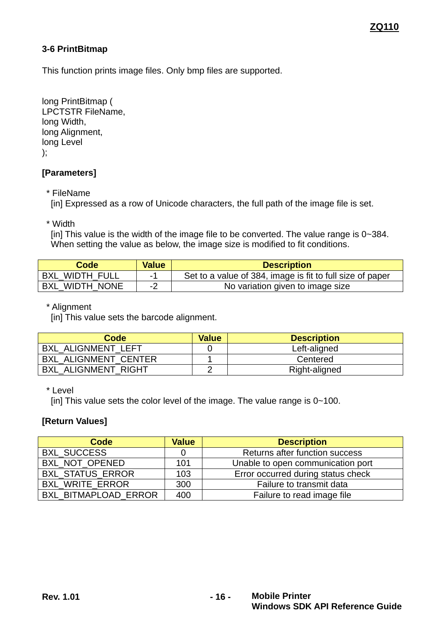#### <span id="page-15-0"></span>**3-6 PrintBitmap**

This function prints image files. Only bmp files are supported.

long PrintBitmap ( LPCTSTR FileName, long Width, long Alignment, long Level );

#### **[Parameters]**

\* FileName

[in] Expressed as a row of Unicode characters, the full path of the image file is set.

\* Width

[in] This value is the width of the image file to be converted. The value range is 0~384. When setting the value as below, the image size is modified to fit conditions.

| Code                  | <b>Value</b> | <b>Description</b>                                        |
|-----------------------|--------------|-----------------------------------------------------------|
| <b>BXL WIDTH FULL</b> |              | Set to a value of 384, image is fit to full size of paper |
| BXL WIDTH NONE        |              | No variation given to image size                          |

\* Alignment

[in] This value sets the barcode alignment.

| Code                        | <b>Value</b> | <b>Description</b> |
|-----------------------------|--------------|--------------------|
| <b>BXL ALIGNMENT LEFT</b>   |              | Left-aligned       |
| <b>BXL ALIGNMENT CENTER</b> |              | Centered           |
| <b>BXL ALIGNMENT RIGHT</b>  |              | Right-aligned      |

#### \* Level

[in] This value sets the color level of the image. The value range is 0~100.

| Code                   | <b>Value</b> | <b>Description</b>                 |
|------------------------|--------------|------------------------------------|
| <b>BXL SUCCESS</b>     |              | Returns after function success     |
| BXL_NOT_OPENED         | 101          | Unable to open communication port  |
| BXL_STATUS_ERROR       | 103          | Error occurred during status check |
| <b>BXL WRITE ERROR</b> | 300          | Failure to transmit data           |
| BXL BITMAPLOAD ERROR   | 400          | Failure to read image file         |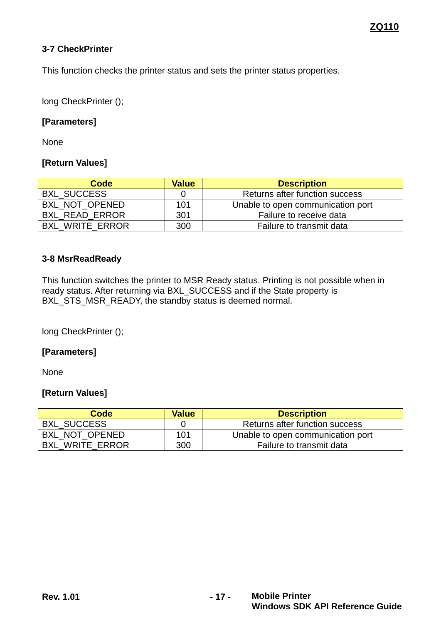#### <span id="page-16-0"></span>**3-7 CheckPrinter**

This function checks the printer status and sets the printer status properties.

long CheckPrinter ();

#### **[Parameters]**

None

#### **[Return Values]**

| Code                   | <b>Value</b> | <b>Description</b>                |
|------------------------|--------------|-----------------------------------|
| <b>BXL SUCCESS</b>     |              | Returns after function success    |
| BXL NOT OPENED         | 101          | Unable to open communication port |
| <b>BXL READ ERROR</b>  | 301          | Failure to receive data           |
| <b>BXL WRITE ERROR</b> | 300          | Failure to transmit data          |

#### <span id="page-16-1"></span>**3-8 MsrReadReady**

This function switches the printer to MSR Ready status. Printing is not possible when in ready status. After returning via BXL\_SUCCESS and if the State property is BXL\_STS\_MSR\_READY, the standby status is deemed normal.

long CheckPrinter ();

#### **[Parameters]**

None

| Code                   | <b>Value</b> | <b>Description</b>                |
|------------------------|--------------|-----------------------------------|
| <b>BXL SUCCESS</b>     |              | Returns after function success    |
| BXL NOT OPENED         | 101          | Unable to open communication port |
| <b>BXL WRITE ERROR</b> | 300          | Failure to transmit data          |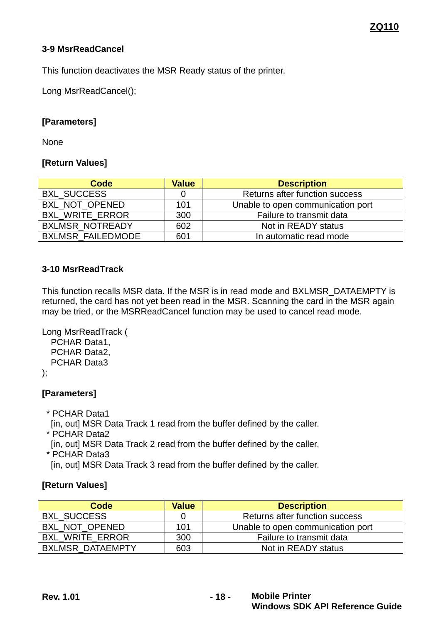#### <span id="page-17-0"></span>**3-9 MsrReadCancel**

This function deactivates the MSR Ready status of the printer.

Long MsrReadCancel();

#### **[Parameters]**

None

#### **[Return Values]**

| Code                     | <b>Value</b> | <b>Description</b>                |
|--------------------------|--------------|-----------------------------------|
| <b>BXL SUCCESS</b>       |              | Returns after function success    |
| BXL NOT OPENED           | 101          | Unable to open communication port |
| <b>BXL WRITE ERROR</b>   | 300          | Failure to transmit data          |
| <b>BXLMSR NOTREADY</b>   | 602          | Not in READY status               |
| <b>BXLMSR FAILEDMODE</b> | 601          | In automatic read mode            |

#### <span id="page-17-1"></span>**3-10 MsrReadTrack**

This function recalls MSR data. If the MSR is in read mode and BXLMSR\_DATAEMPTY is returned, the card has not yet been read in the MSR. Scanning the card in the MSR again may be tried, or the MSRReadCancel function may be used to cancel read mode.

```
Long MsrReadTrack (
 PCHAR Data1,
 PCHAR Data2,
 PCHAR Data3
```
);

#### **[Parameters]**

\* PCHAR Data1

[in, out] MSR Data Track 1 read from the buffer defined by the caller.

- \* PCHAR Data2
- [in, out] MSR Data Track 2 read from the buffer defined by the caller. \* PCHAR Data3

[in, out] MSR Data Track 3 read from the buffer defined by the caller.

| Code                    | <b>Value</b> | <b>Description</b>                |
|-------------------------|--------------|-----------------------------------|
| <b>BXL SUCCESS</b>      |              | Returns after function success    |
| BXL NOT OPENED          | 101          | Unable to open communication port |
| <b>BXL WRITE ERROR</b>  | 300          | Failure to transmit data          |
| <b>BXLMSR DATAEMPTY</b> | 603          | Not in READY status               |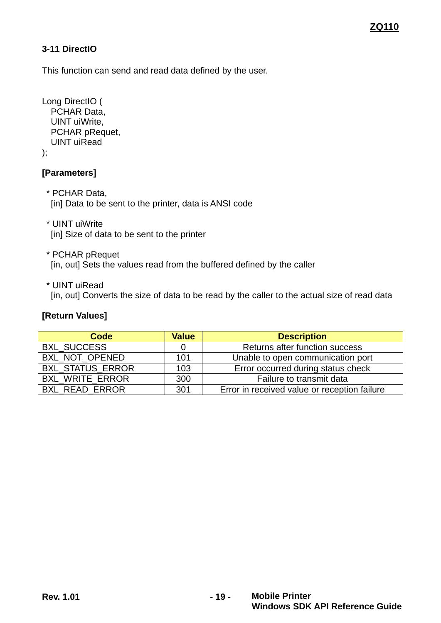# <span id="page-18-0"></span>**3-11 DirectIO**

This function can send and read data defined by the user.

Long DirectIO ( PCHAR Data, UINT uiWrite, PCHAR pRequet, UINT uiRead );

#### **[Parameters]**

- \* PCHAR Data, [in] Data to be sent to the printer, data is ANSI code
- \* UINT uiWrite [in] Size of data to be sent to the printer
- \* PCHAR pRequet [in, out] Sets the values read from the buffered defined by the caller
- \* UINT uiRead

[in, out] Converts the size of data to be read by the caller to the actual size of read data

| Code                   | <b>Value</b> | <b>Description</b>                           |
|------------------------|--------------|----------------------------------------------|
| <b>BXL SUCCESS</b>     |              | Returns after function success               |
| BXL_NOT_OPENED         | 101          | Unable to open communication port            |
| BXL_STATUS_ERROR       | 103          | Error occurred during status check           |
| <b>BXL WRITE ERROR</b> | 300          | Failure to transmit data                     |
| <b>BXL READ ERROR</b>  | 301          | Error in received value or reception failure |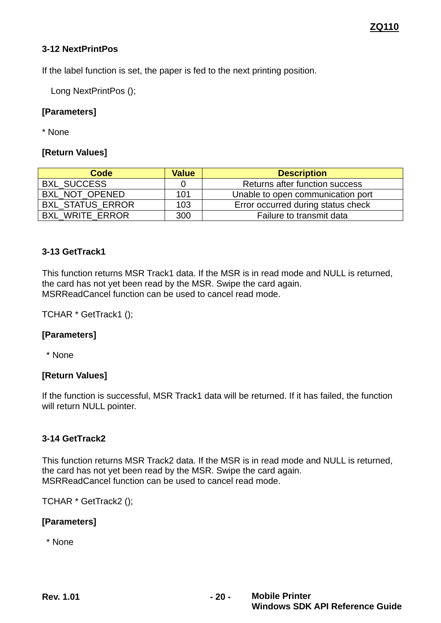#### <span id="page-19-0"></span>**3-12 NextPrintPos**

If the label function is set, the paper is fed to the next printing position.

Long NextPrintPos ();

## **[Parameters]**

\* None

#### **[Return Values]**

| Code                    | <b>Value</b> | <b>Description</b>                 |
|-------------------------|--------------|------------------------------------|
| <b>BXL SUCCESS</b>      |              | Returns after function success     |
| BXL NOT OPENED          | 101          | Unable to open communication port  |
| <b>BXL STATUS ERROR</b> | 103          | Error occurred during status check |
| <b>BXL WRITE ERROR</b>  | 300          | Failure to transmit data           |

#### <span id="page-19-1"></span>**3-13 GetTrack1**

This function returns MSR Track1 data. If the MSR is in read mode and NULL is returned, the card has not yet been read by the MSR. Swipe the card again. MSRReadCancel function can be used to cancel read mode.

TCHAR \* GetTrack1 ();

#### **[Parameters]**

\* None

#### **[Return Values]**

If the function is successful, MSR Track1 data will be returned. If it has failed, the function will return NULL pointer.

#### <span id="page-19-2"></span>**3-14 GetTrack2**

This function returns MSR Track2 data. If the MSR is in read mode and NULL is returned, the card has not yet been read by the MSR. Swipe the card again. MSRReadCancel function can be used to cancel read mode.

TCHAR \* GetTrack2 ();

#### **[Parameters]**

\* None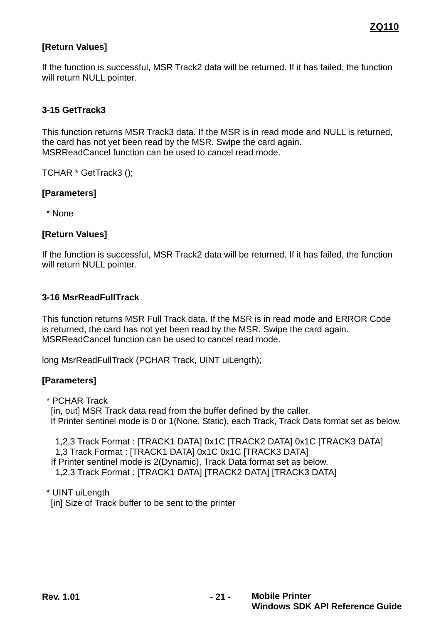# **[Return Values]**

If the function is successful, MSR Track2 data will be returned. If it has failed, the function will return NULL pointer.

#### <span id="page-20-0"></span>**3-15 GetTrack3**

This function returns MSR Track3 data. If the MSR is in read mode and NULL is returned, the card has not yet been read by the MSR. Swipe the card again. MSRReadCancel function can be used to cancel read mode.

TCHAR \* GetTrack3 ();

#### **[Parameters]**

\* None

#### **[Return Values]**

If the function is successful, MSR Track2 data will be returned. If it has failed, the function will return NULL pointer.

#### <span id="page-20-1"></span>**3-16 MsrReadFullTrack**

This function returns MSR Full Track data. If the MSR is in read mode and ERROR Code is returned, the card has not yet been read by the MSR. Swipe the card again. MSRReadCancel function can be used to cancel read mode.

long MsrReadFullTrack (PCHAR Track, UINT uiLength);

#### **[Parameters]**

\* PCHAR Track

[in, out] MSR Track data read from the buffer defined by the caller. If Printer sentinel mode is 0 or 1(None, Static), each Track, Track Data format set as below.

1,2,3 Track Format : [TRACK1 DATA] 0x1C [TRACK2 DATA] 0x1C [TRACK3 DATA] 1,3 Track Format : [TRACK1 DATA] 0x1C 0x1C [TRACK3 DATA] If Printer sentinel mode is 2(Dynamic), Track Data format set as below. 1,2,3 Track Format : [TRACK1 DATA] [TRACK2 DATA] [TRACK3 DATA]

\* UINT uiLength [in] Size of Track buffer to be sent to the printer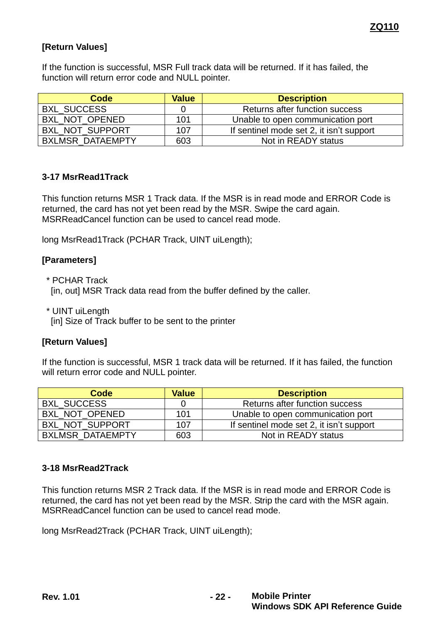# **[Return Values]**

If the function is successful, MSR Full track data will be returned. If it has failed, the function will return error code and NULL pointer.

| Code                    | <b>Value</b> | <b>Description</b>                       |
|-------------------------|--------------|------------------------------------------|
| <b>BXL SUCCESS</b>      |              | Returns after function success           |
| BXL NOT OPENED          | 101          | Unable to open communication port        |
| <b>BXL NOT SUPPORT</b>  | 107          | If sentinel mode set 2, it isn't support |
| <b>BXLMSR DATAEMPTY</b> | 603          | Not in READY status                      |

#### <span id="page-21-0"></span>**3-17 MsrRead1Track**

This function returns MSR 1 Track data. If the MSR is in read mode and ERROR Code is returned, the card has not yet been read by the MSR. Swipe the card again. MSRReadCancel function can be used to cancel read mode.

long MsrRead1Track (PCHAR Track, UINT uiLength);

#### **[Parameters]**

\* PCHAR Track

[in, out] MSR Track data read from the buffer defined by the caller.

\* UINT uiLength

[in] Size of Track buffer to be sent to the printer

#### **[Return Values]**

If the function is successful, MSR 1 track data will be returned. If it has failed, the function will return error code and NULL pointer.

| Code                    | <b>Value</b> | <b>Description</b>                       |
|-------------------------|--------------|------------------------------------------|
| <b>BXL SUCCESS</b>      |              | Returns after function success           |
| BXL NOT OPENED          | 101          | Unable to open communication port        |
| <b>BXL NOT SUPPORT</b>  | 107          | If sentinel mode set 2, it isn't support |
| <b>BXLMSR DATAEMPTY</b> | 603          | Not in READY status                      |

#### <span id="page-21-1"></span>**3-18 MsrRead2Track**

This function returns MSR 2 Track data. If the MSR is in read mode and ERROR Code is returned, the card has not yet been read by the MSR. Strip the card with the MSR again. MSRReadCancel function can be used to cancel read mode.

long MsrRead2Track (PCHAR Track, UINT uiLength);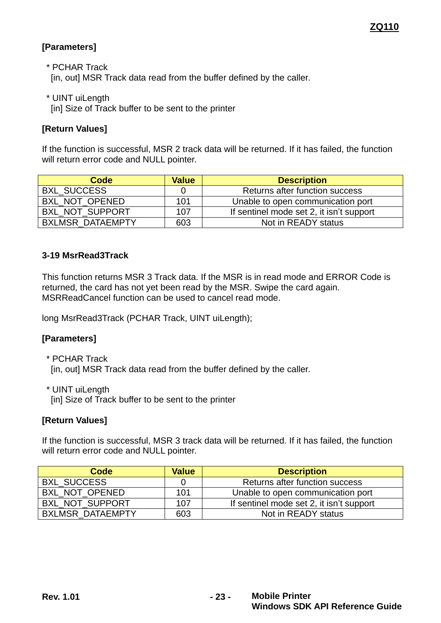# **[Parameters]**

\* PCHAR Track

[in, out] MSR Track data read from the buffer defined by the caller.

\* UINT uiLength

[in] Size of Track buffer to be sent to the printer

# **[Return Values]**

If the function is successful, MSR 2 track data will be returned. If it has failed, the function will return error code and NULL pointer.

| Code                    | <b>Value</b> | <b>Description</b>                       |
|-------------------------|--------------|------------------------------------------|
| <b>BXL SUCCESS</b>      |              | Returns after function success           |
| BXL NOT OPENED          | 101          | Unable to open communication port        |
| BXL NOT SUPPORT         | 107          | If sentinel mode set 2, it isn't support |
| <b>BXLMSR DATAEMPTY</b> | 603          | Not in READY status                      |

# <span id="page-22-0"></span>**3-19 MsrRead3Track**

This function returns MSR 3 Track data. If the MSR is in read mode and ERROR Code is returned, the card has not yet been read by the MSR. Swipe the card again. MSRReadCancel function can be used to cancel read mode.

long MsrRead3Track (PCHAR Track, UINT uiLength);

#### **[Parameters]**

\* PCHAR Track [in, out] MSR Track data read from the buffer defined by the caller.

\* UINT uiLength [in] Size of Track buffer to be sent to the printer

# **[Return Values]**

If the function is successful, MSR 3 track data will be returned. If it has failed, the function will return error code and NULL pointer.

| Code                    | <b>Value</b> | <b>Description</b>                       |
|-------------------------|--------------|------------------------------------------|
| <b>BXL SUCCESS</b>      |              | Returns after function success           |
| BXL NOT OPENED          | 101          | Unable to open communication port        |
| <b>BXL NOT SUPPORT</b>  | 107          | If sentinel mode set 2, it isn't support |
| <b>BXLMSR DATAEMPTY</b> | 603          | Not in READY status                      |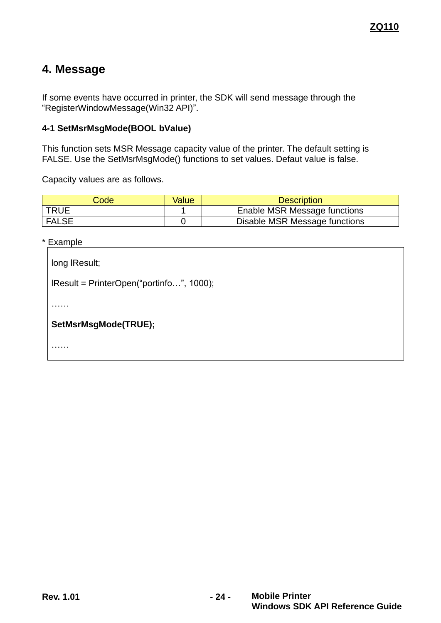# <span id="page-23-0"></span>**4. Message**

If some events have occurred in printer, the SDK will send message through the "RegisterWindowMessage(Win32 API)".

# <span id="page-23-1"></span>**4-1 SetMsrMsgMode(BOOL bValue)**

This function sets MSR Message capacity value of the printer. The default setting is FALSE. Use the SetMsrMsgMode() functions to set values. Defaut value is false.

Capacity values are as follows.

| Code         | Value | <b>Description</b>            |
|--------------|-------|-------------------------------|
| <b>TRUE</b>  |       | Enable MSR Message functions  |
| <b>FALSE</b> |       | Disable MSR Message functions |

\* Example

| long IResult;                             |  |  |
|-------------------------------------------|--|--|
| $Result = PrinterOpen("portinfo", 1000);$ |  |  |
|                                           |  |  |
| SetMsrMsgMode(TRUE);                      |  |  |
|                                           |  |  |